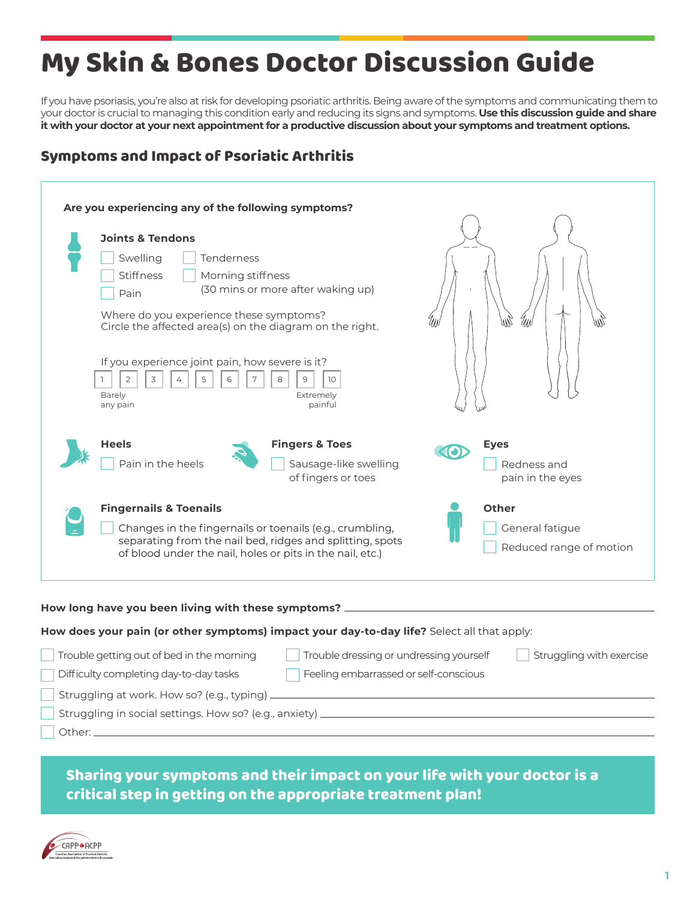## My Skin & Bones Doctor Discussion Guide

If you have psoriasis, you're also at risk for developing psoriatic arthritis. Being aware of the symptoms and communicating them to your doctor is crucial to managing this condition early and reducing its signs and symptoms. **Use this discussion guide and share it with your doctor at your next appointment for a productive discussion about your symptoms and treatment options.**

## Symptoms and Impact of Psoriatic Arthritis

| Are you experiencing any of the following symptoms?                                        |                                                                                                                                                                              |
|--------------------------------------------------------------------------------------------|------------------------------------------------------------------------------------------------------------------------------------------------------------------------------|
|                                                                                            |                                                                                                                                                                              |
|                                                                                            | <b>Joints &amp; Tendons</b>                                                                                                                                                  |
|                                                                                            | Swelling<br>Tenderness                                                                                                                                                       |
|                                                                                            | Stiffness<br>Morning stiffness                                                                                                                                               |
|                                                                                            | (30 mins or more after waking up)<br>Pain                                                                                                                                    |
|                                                                                            | Where do you experience these symptoms?<br>ann<br>MN<br>Circle the affected area(s) on the diagram on the right.                                                             |
|                                                                                            | If you experience joint pain, how severe is it?<br>$\overline{2}$<br>3<br>5<br>8<br>9<br>$\mathbb{L}$<br>4<br>6<br>10<br>Barely<br>Extremely<br>painful<br>any pain          |
|                                                                                            | <b>Fingers &amp; Toes</b><br><b>Heels</b><br><b>Eyes</b><br>$\left( $<br>Pain in the heels<br>Sausage-like swelling<br>Redness and<br>of fingers or toes<br>pain in the eyes |
|                                                                                            | <b>Fingernails &amp; Toenails</b><br><b>Other</b>                                                                                                                            |
|                                                                                            | Changes in the fingernails or toenails (e.g., crumbling,<br>General fatigue                                                                                                  |
|                                                                                            | separating from the nail bed, ridges and splitting, spots<br>Reduced range of motion<br>of blood under the nail, holes or pits in the nail, etc.)                            |
| How long have you been living with these symptoms? _                                       |                                                                                                                                                                              |
| How does your pain (or other symptoms) impact your day-to-day life? Select all that apply: |                                                                                                                                                                              |
|                                                                                            | Trouble getting out of bed in the morning<br>Trouble dressing or undressing yourself<br>Struggling with exercise                                                             |
|                                                                                            | Feeling embarrassed or self-conscious<br>Difficulty completing day-to-day tasks                                                                                              |
|                                                                                            | Struggling at work. How so? (e.g., typing) _                                                                                                                                 |
|                                                                                            | Struggling in social settings. How so? (e.g., anxiety) _                                                                                                                     |

Other:

Sharing your symptoms and their impact on your life with your doctor is a critical step in getting on the appropriate treatment plan!